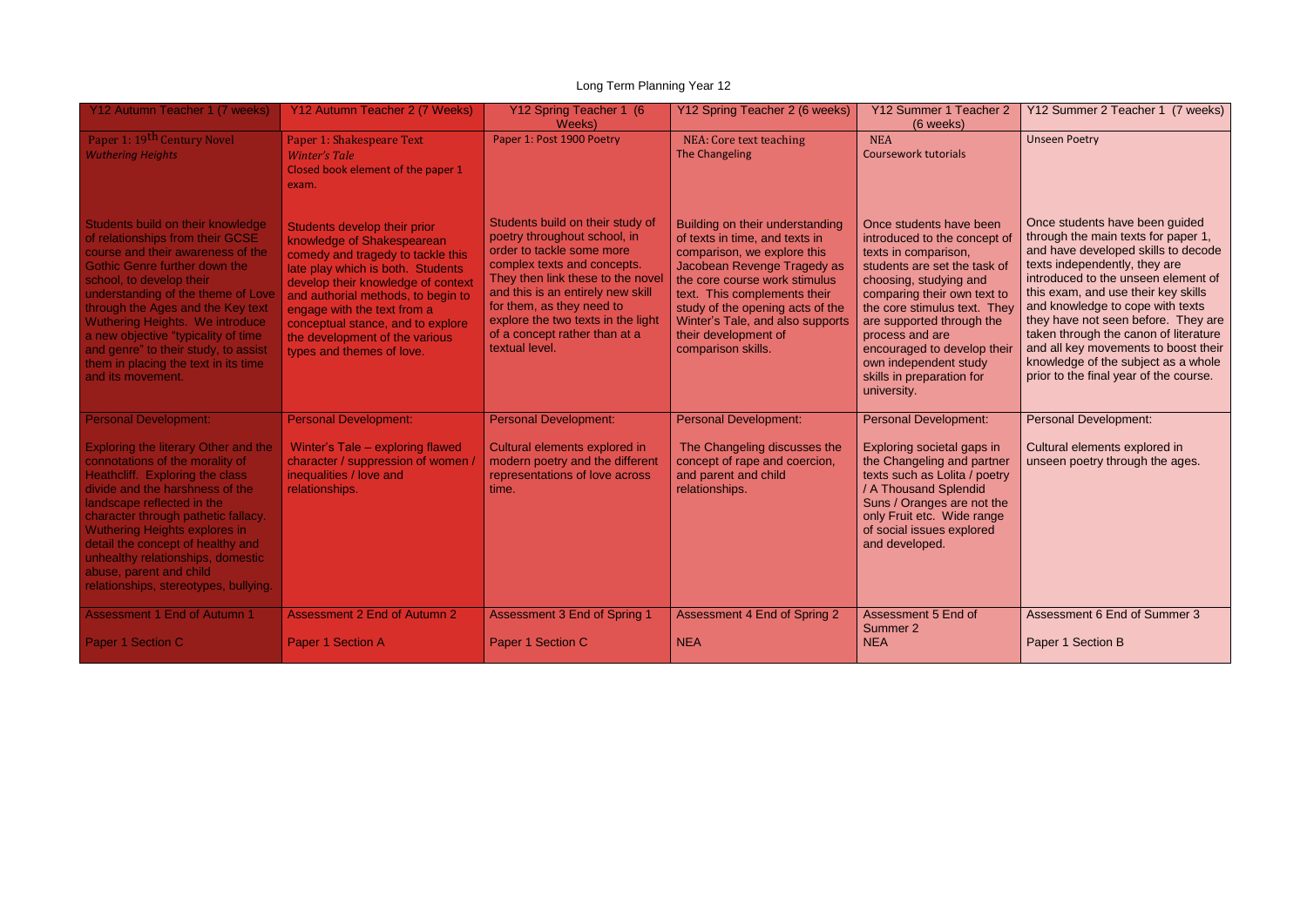## Long Term Planning Year 12

| Y12 Autumn Teacher 1 (7 weeks)                                                                                                                                                                                                                                                                                                                                                                                                           | Y12 Autumn Teacher 2 (7 Weeks)                                                                                                                                                                                                                                                                                                                      | Y12 Spring Teacher 1 (6<br>Weeks)                                                                                                                                                                                                                                                                                            | Y12 Spring Teacher 2 (6 weeks)                                                                                                                                                                                                                                                                                         | Y12 Summer 1 Teacher 2<br>(6 weeks)                                                                                                                                                                                                                                                                                                                          | Y12 Summer 2 Teacher 1 (7 weeks)                                                                                                                                                                                                                                                                                                                                                                                                                                         |
|------------------------------------------------------------------------------------------------------------------------------------------------------------------------------------------------------------------------------------------------------------------------------------------------------------------------------------------------------------------------------------------------------------------------------------------|-----------------------------------------------------------------------------------------------------------------------------------------------------------------------------------------------------------------------------------------------------------------------------------------------------------------------------------------------------|------------------------------------------------------------------------------------------------------------------------------------------------------------------------------------------------------------------------------------------------------------------------------------------------------------------------------|------------------------------------------------------------------------------------------------------------------------------------------------------------------------------------------------------------------------------------------------------------------------------------------------------------------------|--------------------------------------------------------------------------------------------------------------------------------------------------------------------------------------------------------------------------------------------------------------------------------------------------------------------------------------------------------------|--------------------------------------------------------------------------------------------------------------------------------------------------------------------------------------------------------------------------------------------------------------------------------------------------------------------------------------------------------------------------------------------------------------------------------------------------------------------------|
| Paper 1: 19th Century Novel<br><b>Wuthering Heights</b>                                                                                                                                                                                                                                                                                                                                                                                  | Paper 1: Shakespeare Text<br><b>Winter's Tale</b><br>Closed book element of the paper 1<br>exam.                                                                                                                                                                                                                                                    | Paper 1: Post 1900 Poetry                                                                                                                                                                                                                                                                                                    | NEA: Core text teaching<br><b>The Changeling</b>                                                                                                                                                                                                                                                                       | <b>NEA</b><br><b>Coursework tutorials</b>                                                                                                                                                                                                                                                                                                                    | <b>Unseen Poetry</b>                                                                                                                                                                                                                                                                                                                                                                                                                                                     |
| Students build on their knowledge<br>of relationships from their GCSE<br>course and their awareness of the<br><b>Gothic Genre further down the</b><br>school, to develop their<br>understanding of the theme of Love<br>through the Ages and the Key text<br>Wuthering Heights. We introduce<br>a new objective "typicality of time<br>and genre" to their study, to assist<br>them in placing the text in its time<br>and its movement. | Students develop their prior<br>knowledge of Shakespearean<br>comedy and tragedy to tackle this<br>late play which is both. Students<br>develop their knowledge of context<br>and authorial methods, to begin to<br>engage with the text from a<br>conceptual stance, and to explore<br>the development of the various<br>types and themes of love. | Students build on their study of<br>poetry throughout school, in<br>order to tackle some more<br>complex texts and concepts.<br>They then link these to the novel<br>and this is an entirely new skill<br>for them, as they need to<br>explore the two texts in the light<br>of a concept rather than at a<br>textual level. | Building on their understanding<br>of texts in time, and texts in<br>comparison, we explore this<br>Jacobean Revenge Tragedy as<br>the core course work stimulus<br>text. This complements their<br>study of the opening acts of the<br>Winter's Tale, and also supports<br>their development of<br>comparison skills. | Once students have been<br>introduced to the concept of<br>texts in comparison,<br>students are set the task of<br>choosing, studying and<br>comparing their own text to<br>the core stimulus text. They<br>are supported through the<br>process and are<br>encouraged to develop their<br>own independent study<br>skills in preparation for<br>university. | Once students have been guided<br>through the main texts for paper 1,<br>and have developed skills to decode<br>texts independently, they are<br>introduced to the unseen element of<br>this exam, and use their key skills<br>and knowledge to cope with texts<br>they have not seen before. They are<br>taken through the canon of literature<br>and all key movements to boost their<br>knowledge of the subject as a whole<br>prior to the final year of the course. |
| <b>Personal Development:</b>                                                                                                                                                                                                                                                                                                                                                                                                             | <b>Personal Development:</b>                                                                                                                                                                                                                                                                                                                        | <b>Personal Development:</b>                                                                                                                                                                                                                                                                                                 | <b>Personal Development:</b>                                                                                                                                                                                                                                                                                           | <b>Personal Development:</b>                                                                                                                                                                                                                                                                                                                                 | <b>Personal Development:</b>                                                                                                                                                                                                                                                                                                                                                                                                                                             |
| <b>Exploring the literary Other and the</b><br>connotations of the morality of<br>Heathcliff. Exploring the class<br>divide and the harshness of the<br>landscape reflected in the<br>character through pathetic fallacy.<br><b>Wuthering Heights explores in</b><br>detail the concept of healthy and<br>unhealthy relationships, domestic<br>abuse, parent and child<br>relationships, stereotypes, bullying.                          | Winter's Tale - exploring flawed<br>character / suppression of women /<br>inequalities / love and<br>relationships.                                                                                                                                                                                                                                 | Cultural elements explored in<br>modern poetry and the different<br>representations of love across<br>time.                                                                                                                                                                                                                  | The Changeling discusses the<br>concept of rape and coercion,<br>and parent and child<br>relationships.                                                                                                                                                                                                                | Exploring societal gaps in<br>the Changeling and partner<br>texts such as Lolita / poetry<br>/ A Thousand Splendid<br>Suns / Oranges are not the<br>only Fruit etc. Wide range<br>of social issues explored<br>and developed.                                                                                                                                | Cultural elements explored in<br>unseen poetry through the ages.                                                                                                                                                                                                                                                                                                                                                                                                         |
| <b>Assessment 1 End of Autumn 1</b>                                                                                                                                                                                                                                                                                                                                                                                                      | <b>Assessment 2 End of Autumn 2</b>                                                                                                                                                                                                                                                                                                                 | <b>Assessment 3 End of Spring 1</b>                                                                                                                                                                                                                                                                                          | Assessment 4 End of Spring 2                                                                                                                                                                                                                                                                                           | Assessment 5 End of<br>Summer 2                                                                                                                                                                                                                                                                                                                              | Assessment 6 End of Summer 3                                                                                                                                                                                                                                                                                                                                                                                                                                             |
| Paper 1 Section C                                                                                                                                                                                                                                                                                                                                                                                                                        | Paper 1 Section A                                                                                                                                                                                                                                                                                                                                   | Paper 1 Section C                                                                                                                                                                                                                                                                                                            | <b>NEA</b>                                                                                                                                                                                                                                                                                                             | <b>NEA</b>                                                                                                                                                                                                                                                                                                                                                   | Paper 1 Section B                                                                                                                                                                                                                                                                                                                                                                                                                                                        |